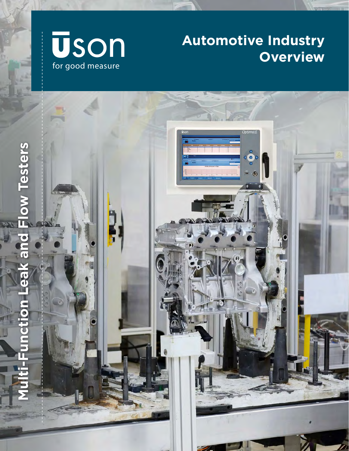

## **Automotive Industry Overview**

m

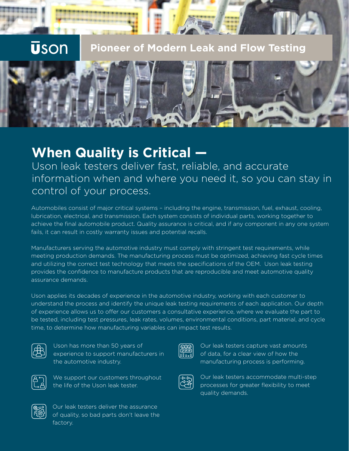# **Uson**

**Pioneer of Modern Leak and Flow Testing**



## **When Quality is Critical —**

Uson leak testers deliver fast, reliable, and accurate information when and where you need it, so you can stay in control of your process.

Automobiles consist of major critical systems – including the engine, transmission, fuel, exhaust, cooling, lubrication, electrical, and transmission. Each system consists of individual parts, working together to achieve the final automobile product. Quality assurance is critical, and if any component in any one system fails, it can result in costly warranty issues and potential recalls.

Manufacturers serving the automotive industry must comply with stringent test requirements, while meeting production demands. The manufacturing process must be optimized, achieving fast cycle times and utilizing the correct test technology that meets the specifications of the OEM. Uson leak testing provides the confidence to manufacture products that are reproducible and meet automotive quality assurance demands.

Uson applies its decades of experience in the automotive industry, working with each customer to understand the process and identify the unique leak testing requirements of each application. Our depth of experience allows us to offer our customers a consultative experience, where we evaluate the part to be tested, including test pressures, leak rates, volumes, environmental conditions, part material, and cycle time, to determine how manufacturing variables can impact test results.



Uson has more than 50 years of experience to support manufacturers in the automotive industry.



We support our customers throughout the life of the Uson leak tester.



Our leak testers capture vast amounts of data, for a clear view of how the manufacturing process is performing.



Our leak testers accommodate multi-step processes for greater flexibility to meet quality demands.



Our leak testers deliver the assurance of quality, so bad parts don't leave the factory.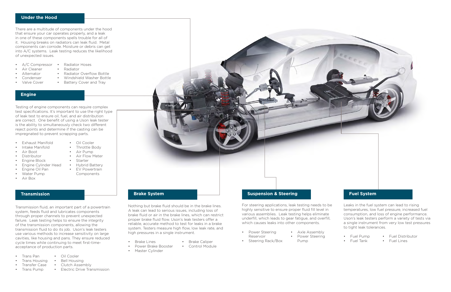### **Under the Hood**

There are a multitude of components under the hood that ensure your car operates properly, and a leak in one of these components spells trouble for all of it. Housing breaks on radiators can leak fluid. Metal components can corrode. Moisture or debris can get into A/C systems. Leak testing reduces the likelihood of unexpected issues.

- A/C Compressor •
- Air Cleaner
- Alternator
- **Condenser**
- Valve Cover
- Radiator Hoses
- Radiator
- Radiator Overflow Bottle • Windshield Washer Bottle
- Battery Cover and Tray
- 

### **Engine**

- Hybrid Battery
- **EV Powertrain**



Testing of engine components can require complex test specifications. It's important to use the right type of leak test to ensure oil, fuel, and air distribution are correct. One benefit of using a Uson leak tester is the ability to simultaneously check two different reject points and determine if the casting can be impregnated to prevent scrapping parts.

- Exhaust Manifold
- Intake Manifold
- Air Boot
- Distributor
- Engine Block
- Engine Cylinder Head
- Engine Oil Pan
- Water Pump
- Air Box

### • Air Flow Meter

- Oil Cooler
- Throttle Body
- Air Pump
- 
- Starter
	-
	- Components

### **Transmission**

Transmission fluid, an important part of a powertrain system, feeds fluid and lubricates components through proper channels to prevent unexpected failure. Leak testing helps to ensure the integrity of the transmission components, allowing the transmission fluid to do its job. Uson's leak testers use various methods to increase sensitivity on large cavities, like housing and pans. They ensure reduced cycle times while continuing to meet first-timeacceptance of production parts.

- Trans Pan
- Trans Housing
	- Transfer Case
- Trans Pump
- Oil Cooler
- 
- Bell Housing
- Clutch Assembly
- Electric Drive Transmission

**Suspension & Steering**

For steering applications, leak testing needs to be highly sensitive to ensure proper fluid fill level in

#### various assemblies. Leak testing helps eliminate underfill, which leads to gear fatigue, and overfill,

which causes leaks into other components.

- Power Steering
- Reservoir
- Steering Rack/Box

• Axle Assembly • Power Steering Pump

### **Fuel System**

Leaks in the fuel system can lead to rising temperatures, low fuel pressure, increased fuel consumption, and loss of engine performance. Uson's leak testers perform a variety of tests via a single instrument from very low test pressures to tight leak tolerances.

- Fuel Pump
- Fuel Distributor
- Fuel Tank
- Fuel Lines

Nothing but brake fluid should be in the brake lines. A leak can lead to serious issues, including loss of brake fluid or air in the brake lines, which can restrict proper brake fluid flow. Uson's leak testers offer a reliable, accurate method to test for leaks in a brake system. Testers measure high flow, low leak rate, and high pressures in a single instrument.

- Brake Lines
- Power Brake Booster
	-

• Master Cylinder

• Brake Caliper • Control Module

#### **Brake System**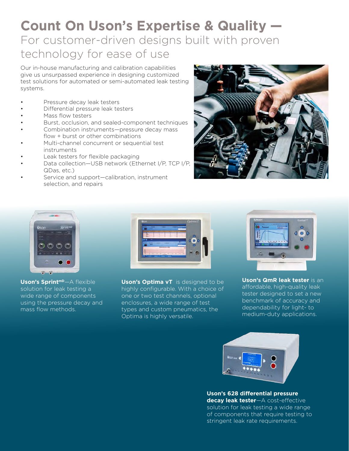### **Count On Uson's Expertise & Quality —** For customer-driven designs built with proven technology for ease of use

Our in-house manufacturing and calibration capabilities give us unsurpassed experience in designing customized test solutions for automated or semi-automated leak testing systems.

- Pressure decay leak testers
- Differential pressure leak testers
- Mass flow testers
- Burst, occlusion, and sealed-component techniques
- Combination instruments—pressure decay mass flow + burst or other combinations
- Multi-channel concurrent or sequential test instruments
- Leak testers for flexible packaging
- Data collection—USB network (Ethernet I/P, TCP I/P, QDas, etc.)
- Service and support—calibration, instrument selection, and repairs





Uson's Sprint<sup>mD</sup>—A flexible solution for leak testing a wide range of components using the pressure decay and mass flow methods.



**Uson's Optima vT** is designed to be highly configurable. With a choice of one or two test channels, optional enclosures, a wide range of test types and custom pneumatics, the Optima is highly versatile.



**Uson's QmR leak tester** is an affordable, high-quality leak tester designed to set a new benchmark of accuracy and dependability for light- to medium-duty applications.



**Uson's 628 differential pressure decay leak tester**—A cost-effective solution for leak testing a wide range of components that require testing to stringent leak rate requirements.